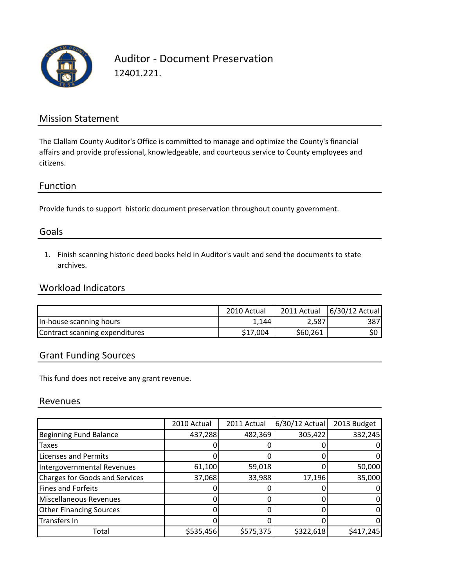

Auditor ‐ Document Preservation 12401.221.

#### Mission Statement

The Clallam County Auditor's Office is committed to manage and optimize the County's financial affairs and provide professional, knowledgeable, and courteous service to County employees and citizens.

#### Function

Provide funds to support historic document preservation throughout county government.

#### Goals

1. Finish scanning historic deed books held in Auditor's vault and send the documents to state archives.

## Workload Indicators

|                                | 2010 Actual |          | 2011 Actual   6/30/12 Actual |
|--------------------------------|-------------|----------|------------------------------|
| In-house scanning hours        | 1,144       | 2,587    | 387I                         |
| Contract scanning expenditures | \$17.004    | \$60,261 |                              |

### Grant Funding Sources

This fund does not receive any grant revenue.

#### Revenues

|                                       | 2010 Actual | 2011 Actual | 6/30/12 Actual | 2013 Budget |
|---------------------------------------|-------------|-------------|----------------|-------------|
| <b>Beginning Fund Balance</b>         | 437,288     | 482,369     | 305,422        | 332,245     |
| <b>Taxes</b>                          |             |             |                |             |
| <b>Licenses and Permits</b>           |             |             |                |             |
| Intergovernmental Revenues            | 61,100      | 59,018      |                | 50,000      |
| <b>Charges for Goods and Services</b> | 37,068      | 33,988      | 17,196         | 35,000      |
| Fines and Forfeits                    |             |             |                |             |
| Miscellaneous Revenues                |             |             |                |             |
| <b>Other Financing Sources</b>        |             |             |                |             |
| <b>Transfers In</b>                   |             |             |                |             |
| Total                                 | \$535,456   | \$575,375   | \$322,618      | \$417,245   |